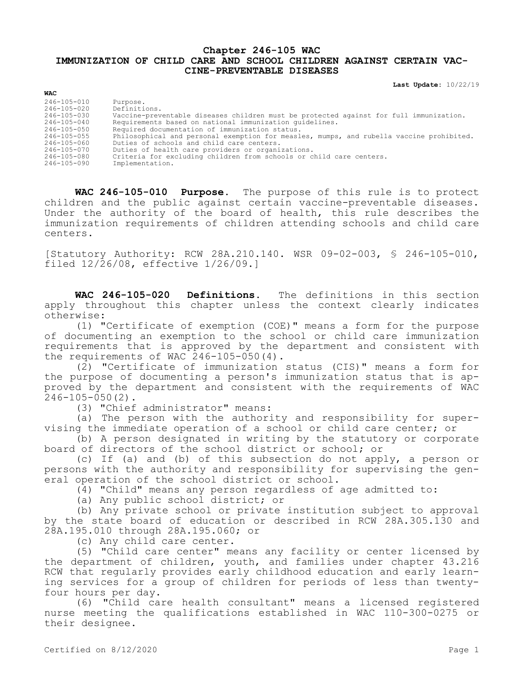## **Chapter 246-105 WAC IMMUNIZATION OF CHILD CARE AND SCHOOL CHILDREN AGAINST CERTAIN VAC-CINE-PREVENTABLE DISEASES**

**Last Update:** 10/22/19

| WAC               |                                                                                          |
|-------------------|------------------------------------------------------------------------------------------|
| 246-105-010       | Purpose.                                                                                 |
| 246-105-020       | Definitions.                                                                             |
| 246-105-030       | Vaccine-preventable diseases children must be protected against for full immunization.   |
| $246 - 105 - 040$ | Requirements based on national immunization quidelines.                                  |
| 246-105-050       | Required documentation of immunization status.                                           |
| 246-105-055       | Philosophical and personal exemption for measles, mumps, and rubella vaccine prohibited. |
| 246-105-060       | Duties of schools and child care centers.                                                |
| 246-105-070       | Duties of health care providers or organizations.                                        |
| 246-105-080       | Criteria for excluding children from schools or child care centers.                      |
| 246-105-090       | Implementation.                                                                          |
|                   |                                                                                          |

**WAC 246-105-010 Purpose.** The purpose of this rule is to protect children and the public against certain vaccine-preventable diseases. Under the authority of the board of health, this rule describes the immunization requirements of children attending schools and child care centers.

[Statutory Authority: RCW 28A.210.140. WSR 09-02-003, § 246-105-010, filed 12/26/08, effective 1/26/09.]

**WAC 246-105-020 Definitions.** The definitions in this section apply throughout this chapter unless the context clearly indicates otherwise:

(1) "Certificate of exemption (COE)" means a form for the purpose of documenting an exemption to the school or child care immunization requirements that is approved by the department and consistent with the requirements of WAC 246-105-050(4).

(2) "Certificate of immunization status (CIS)" means a form for the purpose of documenting a person's immunization status that is approved by the department and consistent with the requirements of WAC 246-105-050(2).

(3) "Chief administrator" means:

(a) The person with the authority and responsibility for supervising the immediate operation of a school or child care center; or

(b) A person designated in writing by the statutory or corporate board of directors of the school district or school; or

(c) If (a) and (b) of this subsection do not apply, a person or persons with the authority and responsibility for supervising the general operation of the school district or school.

(4) "Child" means any person regardless of age admitted to:

(a) Any public school district; or

(b) Any private school or private institution subject to approval by the state board of education or described in RCW 28A.305.130 and 28A.195.010 through 28A.195.060; or

(c) Any child care center.

(5) "Child care center" means any facility or center licensed by the department of children, youth, and families under chapter 43.216 RCW that regularly provides early childhood education and early learning services for a group of children for periods of less than twentyfour hours per day.

(6) "Child care health consultant" means a licensed registered nurse meeting the qualifications established in WAC 110-300-0275 or their designee.

**WAC**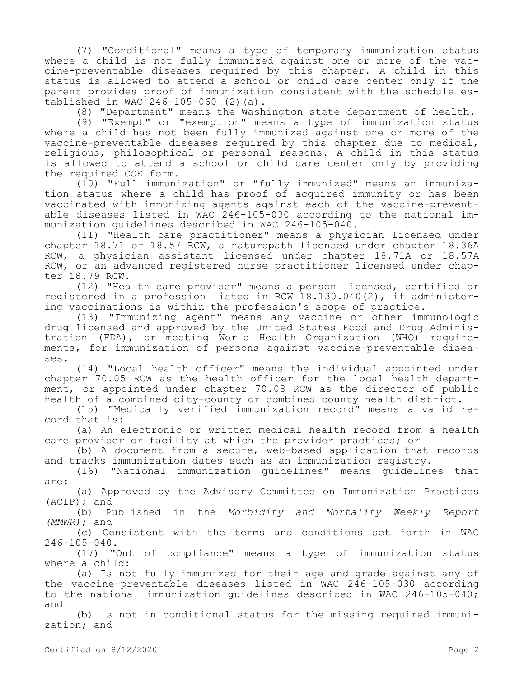(7) "Conditional" means a type of temporary immunization status where a child is not fully immunized against one or more of the vaccine-preventable diseases required by this chapter. A child in this status is allowed to attend a school or child care center only if the parent provides proof of immunization consistent with the schedule established in WAC 246-105-060 (2)(a).

(8) "Department" means the Washington state department of health.

(9) "Exempt" or "exemption" means a type of immunization status where a child has not been fully immunized against one or more of the vaccine-preventable diseases required by this chapter due to medical, religious, philosophical or personal reasons. A child in this status is allowed to attend a school or child care center only by providing the required COE form.

(10) "Full immunization" or "fully immunized" means an immunization status where a child has proof of acquired immunity or has been vaccinated with immunizing agents against each of the vaccine-preventable diseases listed in WAC 246-105-030 according to the national immunization guidelines described in WAC 246-105-040.

(11) "Health care practitioner" means a physician licensed under chapter 18.71 or 18.57 RCW, a naturopath licensed under chapter 18.36A RCW, a physician assistant licensed under chapter 18.71A or 18.57A RCW, or an advanced registered nurse practitioner licensed under chapter 18.79 RCW.

(12) "Health care provider" means a person licensed, certified or registered in a profession listed in RCW 18.130.040(2), if administering vaccinations is within the profession's scope of practice.

(13) "Immunizing agent" means any vaccine or other immunologic drug licensed and approved by the United States Food and Drug Administration (FDA), or meeting World Health Organization (WHO) requirements, for immunization of persons against vaccine-preventable diseases.

(14) "Local health officer" means the individual appointed under chapter 70.05 RCW as the health officer for the local health department, or appointed under chapter 70.08 RCW as the director of public health of a combined city-county or combined county health district.

(15) "Medically verified immunization record" means a valid record that is:

(a) An electronic or written medical health record from a health care provider or facility at which the provider practices; or

(b) A document from a secure, web-based application that records and tracks immunization dates such as an immunization registry.

(16) "National immunization guidelines" means guidelines that are:

(a) Approved by the Advisory Committee on Immunization Practices (ACIP); and

(b) Published in the *Morbidity and Mortality Weekly Report (MMWR)*; and

(c) Consistent with the terms and conditions set forth in WAC 246-105-040.

(17) "Out of compliance" means a type of immunization status where a child:

(a) Is not fully immunized for their age and grade against any of the vaccine-preventable diseases listed in WAC 246-105-030 according to the national immunization guidelines described in WAC 246-105-040; and

(b) Is not in conditional status for the missing required immunization; and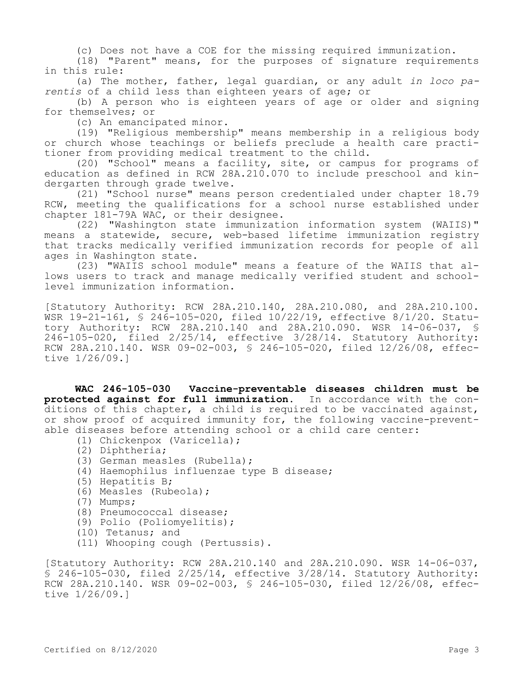(c) Does not have a COE for the missing required immunization.

(18) "Parent" means, for the purposes of signature requirements in this rule:

(a) The mother, father, legal guardian, or any adult *in loco parentis* of a child less than eighteen years of age; or

(b) A person who is eighteen years of age or older and signing for themselves; or

(c) An emancipated minor.

(19) "Religious membership" means membership in a religious body or church whose teachings or beliefs preclude a health care practitioner from providing medical treatment to the child.

(20) "School" means a facility, site, or campus for programs of education as defined in RCW 28A.210.070 to include preschool and kindergarten through grade twelve.

(21) "School nurse" means person credentialed under chapter 18.79 RCW, meeting the qualifications for a school nurse established under chapter 181-79A WAC, or their designee.

(22) "Washington state immunization information system (WAIIS)" means a statewide, secure, web-based lifetime immunization registry that tracks medically verified immunization records for people of all ages in Washington state.

(23) "WAIIS school module" means a feature of the WAIIS that allows users to track and manage medically verified student and schoollevel immunization information.

[Statutory Authority: RCW 28A.210.140, 28A.210.080, and 28A.210.100. WSR 19-21-161, § 246-105-020, filed 10/22/19, effective 8/1/20. Statutory Authority: RCW 28A.210.140 and 28A.210.090. WSR 14-06-037, § 246-105-020, filed 2/25/14, effective 3/28/14. Statutory Authority: RCW 28A.210.140. WSR 09-02-003, § 246-105-020, filed 12/26/08, effective 1/26/09.]

**WAC 246-105-030 Vaccine-preventable diseases children must be protected against for full immunization.** In accordance with the conditions of this chapter, a child is required to be vaccinated against, or show proof of acquired immunity for, the following vaccine-preventable diseases before attending school or a child care center:

- (1) Chickenpox (Varicella);
- (2) Diphtheria;
- (3) German measles (Rubella);
- (4) Haemophilus influenzae type B disease;
- (5) Hepatitis B;
- (6) Measles (Rubeola);
- (7) Mumps;
- (8) Pneumococcal disease;
- (9) Polio (Poliomyelitis);
- (10) Tetanus; and
- (11) Whooping cough (Pertussis).

[Statutory Authority: RCW 28A.210.140 and 28A.210.090. WSR 14-06-037,  $\overline{S}$  246-105-030, filed 2/25/14, effective 3/28/14. Statutory Authority: RCW 28A.210.140. WSR 09-02-003, § 246-105-030, filed 12/26/08, effective 1/26/09.]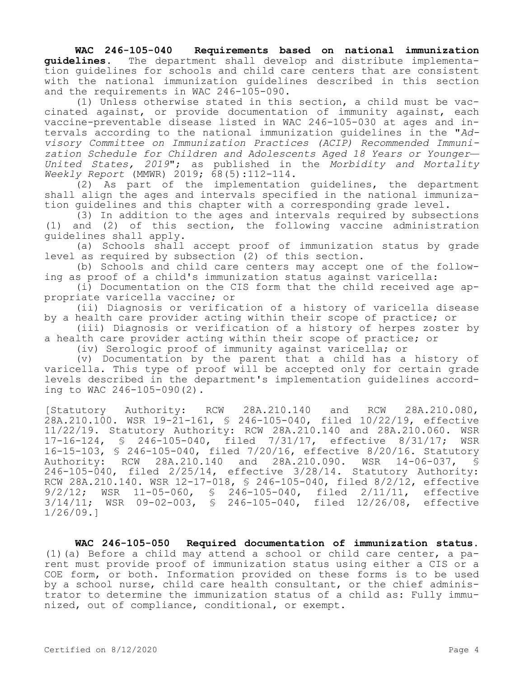## **WAC 246-105-040 Requirements based on national immunization guidelines.** The department shall develop and distribute implementation guidelines for schools and child care centers that are consistent with the national immunization guidelines described in this section and the requirements in WAC 246-105-090.

(1) Unless otherwise stated in this section, a child must be vaccinated against, or provide documentation of immunity against, each vaccine-preventable disease listed in WAC 246-105-030 at ages and intervals according to the national immunization guidelines in the "*Advisory Committee on Immunization Practices (ACIP) Recommended Immunization Schedule for Children and Adolescents Aged 18 Years or Younger— United States, 2019*"; as published in the *Morbidity and Mortality Weekly Report* (MMWR) 2019; 68(5):112-114.

(2) As part of the implementation guidelines, the department shall align the ages and intervals specified in the national immunization guidelines and this chapter with a corresponding grade level.

(3) In addition to the ages and intervals required by subsections (1) and (2) of this section, the following vaccine administration guidelines shall apply.

(a) Schools shall accept proof of immunization status by grade level as required by subsection (2) of this section.

(b) Schools and child care centers may accept one of the following as proof of a child's immunization status against varicella:

(i) Documentation on the CIS form that the child received age appropriate varicella vaccine; or

(ii) Diagnosis or verification of a history of varicella disease by a health care provider acting within their scope of practice; or

(iii) Diagnosis or verification of a history of herpes zoster by a health care provider acting within their scope of practice; or

(iv) Serologic proof of immunity against varicella; or

(v) Documentation by the parent that a child has a history of varicella. This type of proof will be accepted only for certain grade levels described in the department's implementation guidelines according to WAC 246-105-090(2).

[Statutory Authority: RCW 28A.210.140 and RCW 28A.210.080, 28A.210.100. WSR 19-21-161, § 246-105-040, filed 10/22/19, effective 11/22/19. Statutory Authority: RCW 28A.210.140 and 28A.210.060. WSR 17-16-124, § 246-105-040, filed 7/31/17, effective 8/31/17; WSR 16-15-103, § 246-105-040, filed 7/20/16, effective 8/20/16. Statutory Authority: RCW 28A.210.140 and 28A.210.090. WSR 14-06-037, § 246-105-040, filed 2/25/14, effective 3/28/14. Statutory Authority: RCW 28A.210.140. WSR 12-17-018, § 246-105-040, filed 8/2/12, effective 9/2/12; WSR 11-05-060, § 246-105-040, filed 2/11/11, effective 3/14/11; WSR 09-02-003, § 246-105-040, filed 12/26/08, effective 1/26/09.]

**WAC 246-105-050 Required documentation of immunization status.**  (1)(a) Before a child may attend a school or child care center, a parent must provide proof of immunization status using either a CIS or a COE form, or both. Information provided on these forms is to be used by a school nurse, child care health consultant, or the chief administrator to determine the immunization status of a child as: Fully immunized, out of compliance, conditional, or exempt.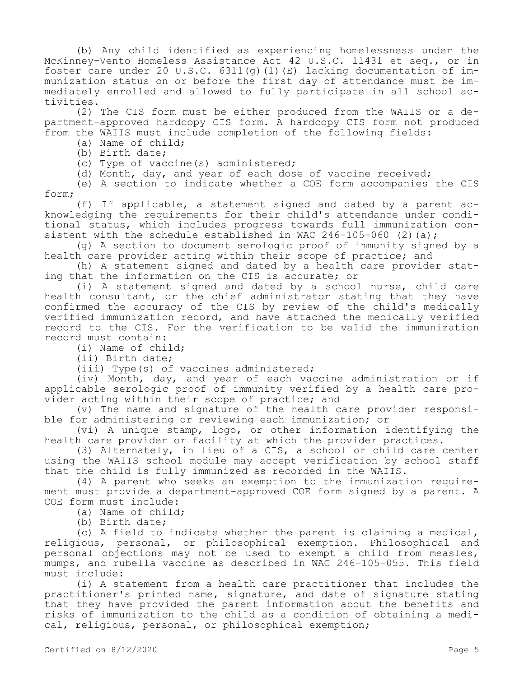(b) Any child identified as experiencing homelessness under the McKinney-Vento Homeless Assistance Act 42 U.S.C. 11431 et seq., or in foster care under 20 U.S.C.  $6311(q)$  (1)(E) lacking documentation of immunization status on or before the first day of attendance must be immediately enrolled and allowed to fully participate in all school activities.

(2) The CIS form must be either produced from the WAIIS or a department-approved hardcopy CIS form. A hardcopy CIS form not produced from the WAIIS must include completion of the following fields:

(a) Name of child;

(b) Birth date;

(c) Type of vaccine(s) administered;

(d) Month, day, and year of each dose of vaccine received;

(e) A section to indicate whether a COE form accompanies the CIS form;

(f) If applicable, a statement signed and dated by a parent acknowledging the requirements for their child's attendance under conditional status, which includes progress towards full immunization consistent with the schedule established in WAC 246-105-060 (2)(a);

(g) A section to document serologic proof of immunity signed by a health care provider acting within their scope of practice; and

(h) A statement signed and dated by a health care provider stating that the information on the CIS is accurate; or

(i) A statement signed and dated by a school nurse, child care health consultant, or the chief administrator stating that they have confirmed the accuracy of the CIS by review of the child's medically verified immunization record, and have attached the medically verified record to the CIS. For the verification to be valid the immunization record must contain:

(i) Name of child;

(ii) Birth date;

(iii) Type(s) of vaccines administered;

(iv) Month, day, and year of each vaccine administration or if applicable serologic proof of immunity verified by a health care provider acting within their scope of practice; and

(v) The name and signature of the health care provider responsible for administering or reviewing each immunization; or

(vi) A unique stamp, logo, or other information identifying the health care provider or facility at which the provider practices.

(3) Alternately, in lieu of a CIS, a school or child care center using the WAIIS school module may accept verification by school staff that the child is fully immunized as recorded in the WAIIS.

(4) A parent who seeks an exemption to the immunization requirement must provide a department-approved COE form signed by a parent. A COE form must include:

(a) Name of child;

(b) Birth date;

(c) A field to indicate whether the parent is claiming a medical, religious, personal, or philosophical exemption. Philosophical and personal objections may not be used to exempt a child from measles, mumps, and rubella vaccine as described in WAC 246-105-055. This field must include:

(i) A statement from a health care practitioner that includes the practitioner's printed name, signature, and date of signature stating that they have provided the parent information about the benefits and risks of immunization to the child as a condition of obtaining a medical, religious, personal, or philosophical exemption;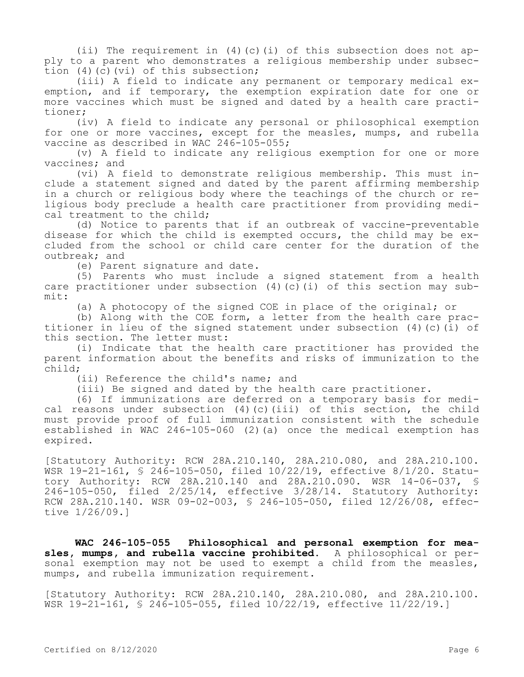(ii) The requirement in  $(4)(c)(i)$  of this subsection does not apply to a parent who demonstrates a religious membership under subsection (4)(c)(vi) of this subsection;

(iii) A field to indicate any permanent or temporary medical exemption, and if temporary, the exemption expiration date for one or more vaccines which must be signed and dated by a health care practitioner;

(iv) A field to indicate any personal or philosophical exemption for one or more vaccines, except for the measles, mumps, and rubella vaccine as described in WAC 246-105-055;

(v) A field to indicate any religious exemption for one or more vaccines; and

(vi) A field to demonstrate religious membership. This must include a statement signed and dated by the parent affirming membership in a church or religious body where the teachings of the church or religious body preclude a health care practitioner from providing medical treatment to the child;

(d) Notice to parents that if an outbreak of vaccine-preventable disease for which the child is exempted occurs, the child may be excluded from the school or child care center for the duration of the outbreak; and

(e) Parent signature and date.

(5) Parents who must include a signed statement from a health care practitioner under subsection  $(4)(c)(i)$  of this section may submit:

(a) A photocopy of the signed COE in place of the original; or

(b) Along with the COE form, a letter from the health care practitioner in lieu of the signed statement under subsection (4)(c)(i) of this section. The letter must:

(i) Indicate that the health care practitioner has provided the parent information about the benefits and risks of immunization to the child;

(ii) Reference the child's name; and

(iii) Be signed and dated by the health care practitioner.

(6) If immunizations are deferred on a temporary basis for medical reasons under subsection  $(4)$  (c)(iii) of this section, the child must provide proof of full immunization consistent with the schedule established in WAC 246-105-060 (2)(a) once the medical exemption has expired.

[Statutory Authority: RCW 28A.210.140, 28A.210.080, and 28A.210.100. WSR 19-21-161, § 246-105-050, filed 10/22/19, effective 8/1/20. Statutory Authority: RCW 28A.210.140 and 28A.210.090. WSR 14-06-037, § 246-105-050, filed 2/25/14, effective 3/28/14. Statutory Authority: RCW 28A.210.140. WSR 09-02-003, § 246-105-050, filed 12/26/08, effective 1/26/09.]

**WAC 246-105-055 Philosophical and personal exemption for measles, mumps, and rubella vaccine prohibited.** A philosophical or personal exemption may not be used to exempt a child from the measles, mumps, and rubella immunization requirement.

[Statutory Authority: RCW 28A.210.140, 28A.210.080, and 28A.210.100. WSR 19-21-161, § 246-105-055, filed 10/22/19, effective 11/22/19.]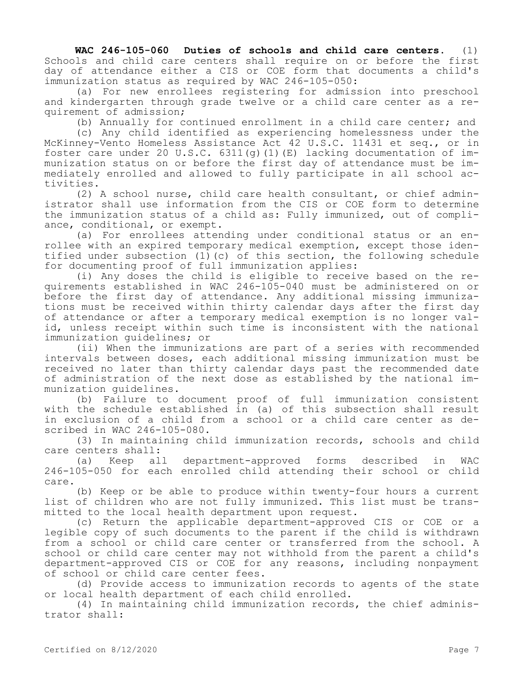**WAC 246-105-060 Duties of schools and child care centers.** (1) Schools and child care centers shall require on or before the first day of attendance either a CIS or COE form that documents a child's immunization status as required by WAC 246-105-050:

(a) For new enrollees registering for admission into preschool and kindergarten through grade twelve or a child care center as a requirement of admission;

(b) Annually for continued enrollment in a child care center; and

(c) Any child identified as experiencing homelessness under the McKinney-Vento Homeless Assistance Act 42 U.S.C. 11431 et seq., or in foster care under 20 U.S.C.  $6311(q)$  (1)(E) lacking documentation of immunization status on or before the first day of attendance must be immediately enrolled and allowed to fully participate in all school activities.

(2) A school nurse, child care health consultant, or chief administrator shall use information from the CIS or COE form to determine the immunization status of a child as: Fully immunized, out of compliance, conditional, or exempt.

(a) For enrollees attending under conditional status or an enrollee with an expired temporary medical exemption, except those identified under subsection  $(1)(c)$  of this section, the following schedule for documenting proof of full immunization applies:

(i) Any doses the child is eligible to receive based on the requirements established in WAC 246-105-040 must be administered on or before the first day of attendance. Any additional missing immunizations must be received within thirty calendar days after the first day of attendance or after a temporary medical exemption is no longer valid, unless receipt within such time is inconsistent with the national immunization guidelines; or

(ii) When the immunizations are part of a series with recommended intervals between doses, each additional missing immunization must be received no later than thirty calendar days past the recommended date of administration of the next dose as established by the national immunization guidelines.

(b) Failure to document proof of full immunization consistent with the schedule established in (a) of this subsection shall result in exclusion of a child from a school or a child care center as described in WAC 246-105-080.

(3) In maintaining child immunization records, schools and child care centers shall:<br>(a) Keep all

(a) Keep all department-approved forms described in WAC 246-105-050 for each enrolled child attending their school or child care.

(b) Keep or be able to produce within twenty-four hours a current list of children who are not fully immunized. This list must be transmitted to the local health department upon request.

(c) Return the applicable department-approved CIS or COE or a legible copy of such documents to the parent if the child is withdrawn from a school or child care center or transferred from the school. A school or child care center may not withhold from the parent a child's department-approved CIS or COE for any reasons, including nonpayment of school or child care center fees.

(d) Provide access to immunization records to agents of the state or local health department of each child enrolled.

(4) In maintaining child immunization records, the chief administrator shall: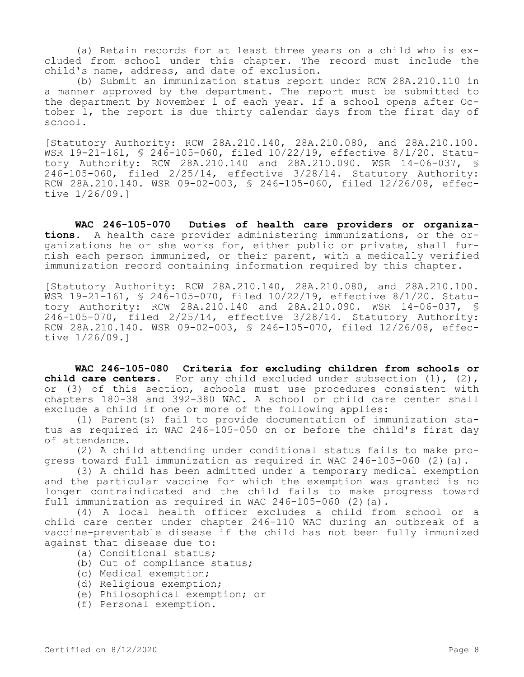(a) Retain records for at least three years on a child who is excluded from school under this chapter. The record must include the child's name, address, and date of exclusion.

(b) Submit an immunization status report under RCW 28A.210.110 in a manner approved by the department. The report must be submitted to the department by November 1 of each year. If a school opens after October 1, the report is due thirty calendar days from the first day of school.

[Statutory Authority: RCW 28A.210.140, 28A.210.080, and 28A.210.100. WSR 19-21-161, § 246-105-060, filed 10/22/19, effective 8/1/20. Statutory Authority: RCW 28A.210.140 and 28A.210.090. WSR 14-06-037, § 246-105-060, filed 2/25/14, effective 3/28/14. Statutory Authority: RCW 28A.210.140. WSR 09-02-003, § 246-105-060, filed 12/26/08, effective 1/26/09.]

**WAC 246-105-070 Duties of health care providers or organizations.** A health care provider administering immunizations, or the organizations he or she works for, either public or private, shall furnish each person immunized, or their parent, with a medically verified immunization record containing information required by this chapter.

[Statutory Authority: RCW 28A.210.140, 28A.210.080, and 28A.210.100. WSR 19-21-161, § 246-105-070, filed 10/22/19, effective 8/1/20. Statutory Authority: RCW 28A.210.140 and 28A.210.090. WSR 14-06-037, § 246-105-070, filed 2/25/14, effective 3/28/14. Statutory Authority: RCW 28A.210.140. WSR 09-02-003, § 246-105-070, filed 12/26/08, effective 1/26/09.]

**WAC 246-105-080 Criteria for excluding children from schools or child care centers.** For any child excluded under subsection (1), (2), or (3) of this section, schools must use procedures consistent with chapters 180-38 and 392-380 WAC. A school or child care center shall exclude a child if one or more of the following applies:

(1) Parent(s) fail to provide documentation of immunization status as required in WAC 246-105-050 on or before the child's first day of attendance.

(2) A child attending under conditional status fails to make progress toward full immunization as required in WAC 246-105-060 (2)(a).

(3) A child has been admitted under a temporary medical exemption and the particular vaccine for which the exemption was granted is no longer contraindicated and the child fails to make progress toward full immunization as required in WAC 246-105-060 (2)(a).

(4) A local health officer excludes a child from school or a child care center under chapter 246-110 WAC during an outbreak of a vaccine-preventable disease if the child has not been fully immunized against that disease due to:

- (a) Conditional status;
- (b) Out of compliance status;
- (c) Medical exemption;
- (d) Religious exemption;
- (e) Philosophical exemption; or
- (f) Personal exemption.